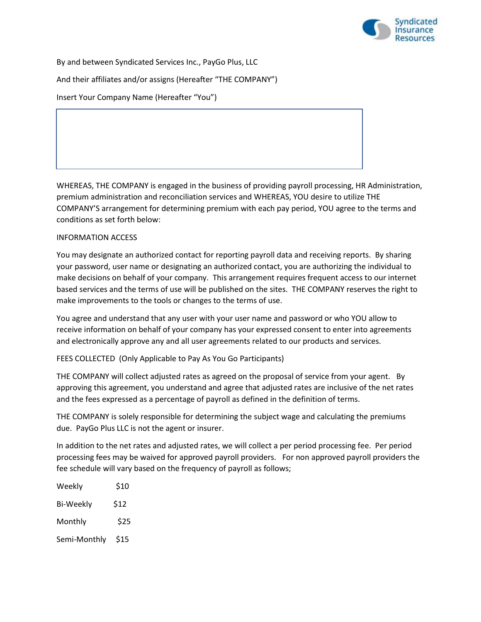

By and between Syndicated Services Inc., PayGo Plus, LLC And their affiliates and/or assigns (Hereafter "THE COMPANY") Insert Your Company Name (Hereafter "You")

WHEREAS, THE COMPANY is engaged in the business of providing payroll processing, HR Administration, premium administration and reconciliation services and WHEREAS, YOU desire to utilize THE COMPANY'S arrangement for determining premium with each pay period, YOU agree to the terms and conditions as set forth below:

## INFORMATION ACCESS

You may designate an authorized contact for reporting payroll data and receiving reports. By sharing your password, user name or designating an authorized contact, you are authorizing the individual to make decisions on behalf of your company. This arrangement requires frequent access to our internet based services and the terms of use will be published on the sites. THE COMPANY reserves the right to make improvements to the tools or changes to the terms of use.

You agree and understand that any user with your user name and password or who YOU allow to receive information on behalf of your company has your expressed consent to enter into agreements and electronically approve any and all user agreements related to our products and services.

FEES COLLECTED (Only Applicable to Pay As You Go Participants)

THE COMPANY will collect adjusted rates as agreed on the proposal of service from your agent. By approving this agreement, you understand and agree that adjusted rates are inclusive of the net rates and the fees expressed as a percentage of payroll as defined in the definition of terms.

THE COMPANY is solely responsible for determining the subject wage and calculating the premiums due. PayGo Plus LLC is not the agent or insurer.

In addition to the net rates and adjusted rates, we will collect a per period processing fee. Per period processing fees may be waived for approved payroll providers. For non approved payroll providers the fee schedule will vary based on the frequency of payroll as follows;

| Weekly           | \$10 |
|------------------|------|
| <b>Bi-Weekly</b> | \$12 |
| Monthly          | \$25 |
| Semi-Monthly     | \$15 |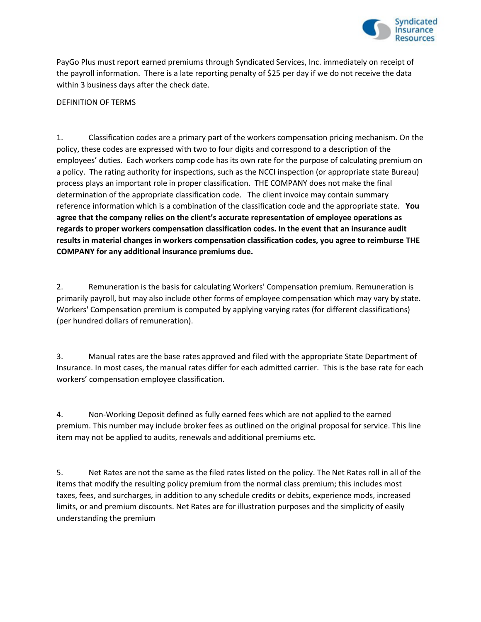

PayGo Plus must report earned premiums through Syndicated Services, Inc. immediately on receipt of the payroll information. There is a late reporting penalty of \$25 per day if we do not receive the data within 3 business days after the check date.

## DEFINITION OF TERMS

1. Classification codes are a primary part of the workers compensation pricing mechanism. On the policy, these codes are expressed with two to four digits and correspond to a description of the employees' duties. Each workers comp code has its own rate for the purpose of calculating premium on a policy. The rating authority for inspections, such as the NCCI inspection (or appropriate state Bureau) process plays an important role in proper classification. THE COMPANY does not make the final determination of the appropriate classification code. The client invoice may contain summary reference information which is a combination of the classification code and the appropriate state. **You agree that the company relies on the client's accurate representation of employee operations as regards to proper workers compensation classification codes. In the event that an insurance audit results in material changes in workers compensation classification codes, you agree to reimburse THE COMPANY for any additional insurance premiums due.**

2. Remuneration is the basis for calculating Workers' Compensation premium. Remuneration is primarily payroll, but may also include other forms of employee compensation which may vary by state. Workers' Compensation premium is computed by applying varying rates (for different classifications) (per hundred dollars of remuneration).

3. Manual rates are the base rates approved and filed with the appropriate State Department of Insurance. In most cases, the manual rates differ for each admitted carrier. This is the base rate for each workers' compensation employee classification.

4. Non-Working Deposit defined as fully earned fees which are not applied to the earned premium. This number may include broker fees as outlined on the original proposal for service. This line item may not be applied to audits, renewals and additional premiums etc.

5. Net Rates are not the same as the filed rates listed on the policy. The Net Rates roll in all of the items that modify the resulting policy premium from the normal class premium; this includes most taxes, fees, and surcharges, in addition to any schedule credits or debits, experience mods, increased limits, or and premium discounts. Net Rates are for illustration purposes and the simplicity of easily understanding the premium